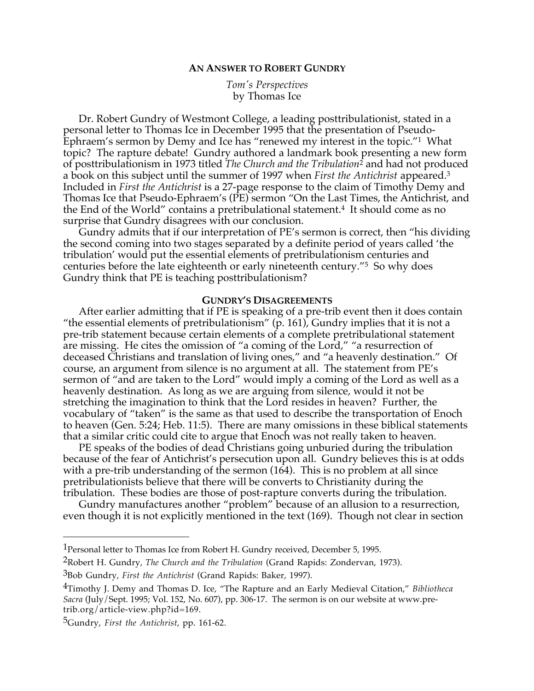## **AN ANSWER TO ROBERT GUNDRY**

*Tom's Perspectives* by Thomas Ice

Dr. Robert Gundry of Westmont College, a leading posttribulationist, stated in a personal letter to Thomas Ice in December 1995 that the presentation of Pseudo-Ephraem's sermon by Demy and Ice has "renewed my interest in the topic."1 What topic? The rapture debate! Gundry authored a landmark book presenting a new form of posttribulationism in 1973 titled *The Church and the Tribulation*2 and had not produced a book on this subject until the summer of 1997 when *First the Antichrist* appeared.3 Included in *First the Antichrist* is a 27-page response to the claim of Timothy Demy and Thomas Ice that Pseudo-Ephraem's (PE) sermon "On the Last Times, the Antichrist, and the End of the World" contains a pretribulational statement.4 It should come as no surprise that Gundry disagrees with our conclusion.

Gundry admits that if our interpretation of PE's sermon is correct, then "his dividing the second coming into two stages separated by a definite period of years called 'the tribulation' would put the essential elements of pretribulationism centuries and centuries before the late eighteenth or early nineteenth century."5 So why does Gundry think that PE is teaching posttribulationism?

## **GUNDRY'S DISAGREEMENTS**

After earlier admitting that if PE is speaking of a pre-trib event then it does contain "the essential elements of pretribulationism" (p. 161), Gundry implies that it is not a pre-trib statement because certain elements of a complete pretribulational statement are missing. He cites the omission of "a coming of the Lord," "a resurrection of deceased Christians and translation of living ones," and "a heavenly destination." Of course, an argument from silence is no argument at all. The statement from PE's sermon of "and are taken to the Lord" would imply a coming of the Lord as well as a heavenly destination. As long as we are arguing from silence, would it not be stretching the imagination to think that the Lord resides in heaven? Further, the vocabulary of "taken" is the same as that used to describe the transportation of Enoch to heaven (Gen. 5:24; Heb. 11:5). There are many omissions in these biblical statements that a similar critic could cite to argue that Enoch was not really taken to heaven.

PE speaks of the bodies of dead Christians going unburied during the tribulation because of the fear of Antichrist's persecution upon all. Gundry believes this is at odds with a pre-trib understanding of the sermon (164). This is no problem at all since pretribulationists believe that there will be converts to Christianity during the tribulation. These bodies are those of post-rapture converts during the tribulation.

Gundry manufactures another "problem" because of an allusion to a resurrection, even though it is not explicitly mentioned in the text (169). Though not clear in section

2Robert H. Gundry, *The Church and the Tribulation* (Grand Rapids: Zondervan, 1973).

 $\overline{a}$ 

<sup>&</sup>lt;sup>1</sup> Personal letter to Thomas Ice from Robert H. Gundry received, December 5, 1995.

<sup>3</sup>Bob Gundry, *First the Antichrist* (Grand Rapids: Baker, 1997).

<sup>4</sup>Timothy J. Demy and Thomas D. Ice, "The Rapture and an Early Medieval Citation," *Bibliotheca Sacra* (July/Sept. 1995; Vol. 152, No. 607), pp. 306-17. The sermon is on our website at www.pretrib.org/article-view.php?id=169.

<sup>5</sup>Gundry, *First the Antichrist*, pp. 161-62.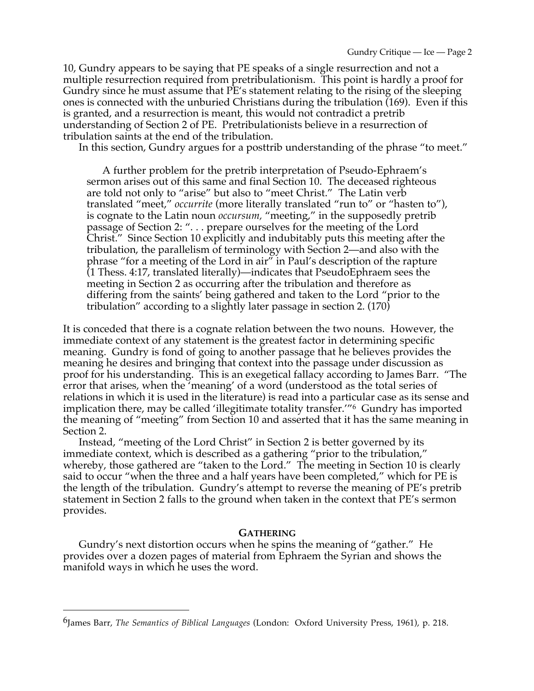10, Gundry appears to be saying that PE speaks of a single resurrection and not a multiple resurrection required from pretribulationism. This point is hardly a proof for Gundry since he must assume that PE's statement relating to the rising of the sleeping ones is connected with the unburied Christians during the tribulation (169). Even if this is granted, and a resurrection is meant, this would not contradict a pretrib understanding of Section 2 of PE. Pretribulationists believe in a resurrection of tribulation saints at the end of the tribulation.

In this section, Gundry argues for a posttrib understanding of the phrase "to meet."

A further problem for the pretrib interpretation of Pseudo-Ephraem's sermon arises out of this same and final Section 10. The deceased righteous are told not only to "arise" but also to "meet Christ." The Latin verb translated "meet," *occurrite* (more literally translated "run to" or "hasten to"), is cognate to the Latin noun *occursum,* "meeting," in the supposedly pretrib passage of Section 2: ". . . prepare ourselves for the meeting of the Lord Christ." Since Section 10 explicitly and indubitably puts this meeting after the tribulation, the parallelism of terminology with Section 2—and also with the phrase "for a meeting of the Lord in air" in Paul's description of the rapture (1 Thess. 4:17, translated literally)—indicates that PseudoEphraem sees the meeting in Section 2 as occurring after the tribulation and therefore as differing from the saints' being gathered and taken to the Lord "prior to the tribulation" according to a slightly later passage in section 2. (170)

It is conceded that there is a cognate relation between the two nouns. However, the immediate context of any statement is the greatest factor in determining specific meaning. Gundry is fond of going to another passage that he believes provides the meaning he desires and bringing that context into the passage under discussion as proof for his understanding. This is an exegetical fallacy according to James Barr. "The error that arises, when the 'meaning' of a word (understood as the total series of relations in which it is used in the literature) is read into a particular case as its sense and implication there, may be called 'illegitimate totality transfer.'"6 Gundry has imported the meaning of "meeting" from Section 10 and asserted that it has the same meaning in Section 2.

Instead, "meeting of the Lord Christ" in Section 2 is better governed by its immediate context, which is described as a gathering "prior to the tribulation," whereby, those gathered are "taken to the Lord." The meeting in Section 10 is clearly said to occur "when the three and a half years have been completed," which for PE is the length of the tribulation. Gundry's attempt to reverse the meaning of PE's pretrib statement in Section 2 falls to the ground when taken in the context that PE's sermon provides.

## **GATHERING**

Gundry's next distortion occurs when he spins the meaning of "gather." He provides over a dozen pages of material from Ephraem the Syrian and shows the manifold ways in which he uses the word.

 $\overline{a}$ 

<sup>6</sup>James Barr, *The Semantics of Biblical Languages* (London: Oxford University Press, 1961), p. 218.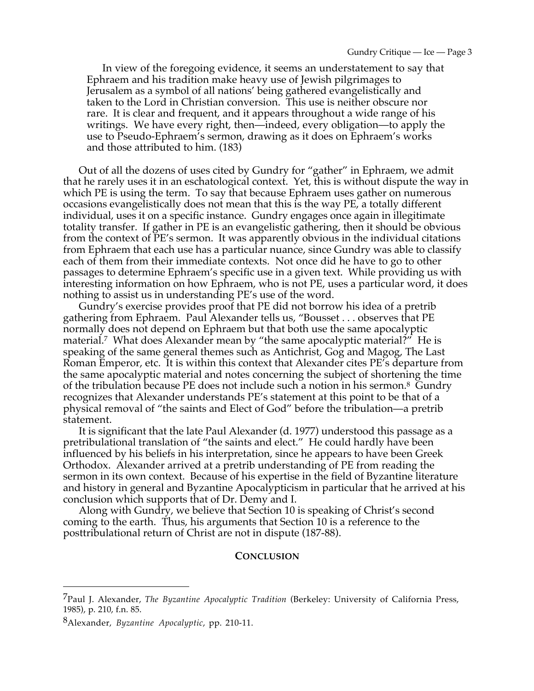In view of the foregoing evidence, it seems an understatement to say that Ephraem and his tradition make heavy use of Jewish pilgrimages to Jerusalem as a symbol of all nations' being gathered evangelistically and taken to the Lord in Christian conversion. This use is neither obscure nor rare. It is clear and frequent, and it appears throughout a wide range of his writings. We have every right, then—indeed, every obligation—to apply the use to Pseudo-Ephraem's sermon, drawing as it does on Ephraem's works and those attributed to him. (183)

Out of all the dozens of uses cited by Gundry for "gather" in Ephraem, we admit that he rarely uses it in an eschatological context. Yet, this is without dispute the way in which PE is using the term. To say that because Ephraem uses gather on numerous occasions evangelistically does not mean that this is the way PE, a totally different individual, uses it on a specific instance. Gundry engages once again in illegitimate totality transfer. If gather in PE is an evangelistic gathering, then it should be obvious from the context of PE's sermon. It was apparently obvious in the individual citations from Ephraem that each use has a particular nuance, since Gundry was able to classify each of them from their immediate contexts. Not once did he have to go to other passages to determine Ephraem's specific use in a given text. While providing us with interesting information on how Ephraem, who is not PE, uses a particular word, it does nothing to assist us in understanding PE's use of the word.

Gundry's exercise provides proof that PE did not borrow his idea of a pretrib gathering from Ephraem. Paul Alexander tells us, "Bousset . . . observes that PE normally does not depend on Ephraem but that both use the same apocalyptic material.<sup>7</sup> What does Alexander mean by "the same apocalyptic material?" He is speaking of the same general themes such as Antichrist, Gog and Magog, The Last Roman Emperor, etc. It is within this context that Alexander cites PE's departure from the same apocalyptic material and notes concerning the subject of shortening the time of the tribulation because PE does not include such a notion in his sermon.8 Gundry recognizes that Alexander understands PE's statement at this point to be that of a physical removal of "the saints and Elect of God" before the tribulation—a pretrib statement.

It is significant that the late Paul Alexander (d. 1977) understood this passage as a pretribulational translation of "the saints and elect." He could hardly have been influenced by his beliefs in his interpretation, since he appears to have been Greek Orthodox. Alexander arrived at a pretrib understanding of PE from reading the sermon in its own context. Because of his expertise in the field of Byzantine literature and history in general and Byzantine Apocalypticism in particular that he arrived at his conclusion which supports that of Dr. Demy and I.

Along with Gundry, we believe that Section 10 is speaking of Christ's second coming to the earth. Thus, his arguments that Section 10 is a reference to the posttribulational return of Christ are not in dispute (187-88).

## **CONCLUSION**

 $\overline{a}$ 

<sup>7</sup>Paul J. Alexander, *The Byzantine Apocalyptic Tradition* (Berkeley: University of California Press, 1985), p. 210, f.n. 85.

<sup>8</sup>Alexander, *Byzantine Apocalyptic*, pp. 210-11.